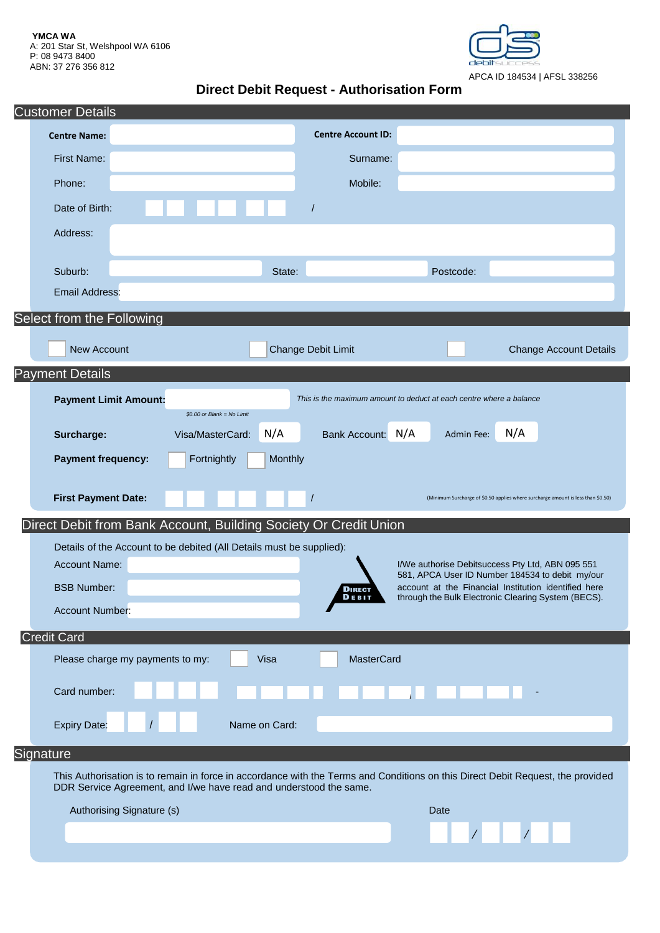**YMCA WA** A: 201 Star St, Welshpool WA 6106 P: 08 9473 8400 ABN: 37 276 356 812



# **Direct Debit Request - Authorisation Form**

| <b>Customer Details</b>                                          |                                                                                                                                                                                                       |                                                                                                     |                  |               |                          |                                                                                                                                       |                                                                                                     |            |                                                                                  |  |  |
|------------------------------------------------------------------|-------------------------------------------------------------------------------------------------------------------------------------------------------------------------------------------------------|-----------------------------------------------------------------------------------------------------|------------------|---------------|--------------------------|---------------------------------------------------------------------------------------------------------------------------------------|-----------------------------------------------------------------------------------------------------|------------|----------------------------------------------------------------------------------|--|--|
|                                                                  | <b>Centre Name:</b>                                                                                                                                                                                   |                                                                                                     |                  |               |                          | <b>Centre Account ID:</b>                                                                                                             |                                                                                                     |            |                                                                                  |  |  |
|                                                                  | <b>First Name:</b>                                                                                                                                                                                    |                                                                                                     |                  |               |                          | Surname:                                                                                                                              |                                                                                                     |            |                                                                                  |  |  |
|                                                                  | Phone:                                                                                                                                                                                                |                                                                                                     |                  |               |                          | Mobile:                                                                                                                               |                                                                                                     |            |                                                                                  |  |  |
|                                                                  | Date of Birth:                                                                                                                                                                                        |                                                                                                     |                  |               | $\overline{\phantom{a}}$ |                                                                                                                                       |                                                                                                     |            |                                                                                  |  |  |
|                                                                  | Address:                                                                                                                                                                                              |                                                                                                     |                  |               |                          |                                                                                                                                       |                                                                                                     |            |                                                                                  |  |  |
|                                                                  | Suburb:                                                                                                                                                                                               |                                                                                                     |                  |               | State:                   |                                                                                                                                       |                                                                                                     | Postcode:  |                                                                                  |  |  |
|                                                                  | <b>Email Address:</b>                                                                                                                                                                                 |                                                                                                     |                  |               |                          |                                                                                                                                       |                                                                                                     |            |                                                                                  |  |  |
| Select from the Following                                        |                                                                                                                                                                                                       |                                                                                                     |                  |               |                          |                                                                                                                                       |                                                                                                     |            |                                                                                  |  |  |
|                                                                  | New Account                                                                                                                                                                                           |                                                                                                     |                  |               | Change Debit Limit       |                                                                                                                                       |                                                                                                     |            | <b>Change Account Details</b>                                                    |  |  |
| <b>Payment Details</b>                                           |                                                                                                                                                                                                       |                                                                                                     |                  |               |                          |                                                                                                                                       |                                                                                                     |            |                                                                                  |  |  |
|                                                                  |                                                                                                                                                                                                       | This is the maximum amount to deduct at each centre where a balance<br><b>Payment Limit Amount:</b> |                  |               |                          |                                                                                                                                       |                                                                                                     |            |                                                                                  |  |  |
|                                                                  |                                                                                                                                                                                                       | \$0.00 or Blank = No Limit                                                                          |                  |               |                          |                                                                                                                                       |                                                                                                     |            |                                                                                  |  |  |
|                                                                  | Surcharge:                                                                                                                                                                                            |                                                                                                     | Visa/MasterCard: | N/A           |                          | Bank Account: N/A                                                                                                                     |                                                                                                     | Admin Fee: | N/A                                                                              |  |  |
|                                                                  | <b>Payment frequency:</b>                                                                                                                                                                             |                                                                                                     | Fortnightly      |               | Monthly                  |                                                                                                                                       |                                                                                                     |            |                                                                                  |  |  |
|                                                                  | <b>First Payment Date:</b>                                                                                                                                                                            |                                                                                                     |                  |               |                          |                                                                                                                                       |                                                                                                     |            | (Minimum Surcharge of \$0.50 applies where surcharge amount is less than \$0.50) |  |  |
| Direct Debit from Bank Account, Building Society Or Credit Union |                                                                                                                                                                                                       |                                                                                                     |                  |               |                          |                                                                                                                                       |                                                                                                     |            |                                                                                  |  |  |
|                                                                  |                                                                                                                                                                                                       | Details of the Account to be debited (All Details must be supplied):                                |                  |               |                          |                                                                                                                                       |                                                                                                     |            |                                                                                  |  |  |
|                                                                  |                                                                                                                                                                                                       | <b>Account Name:</b>                                                                                |                  |               |                          |                                                                                                                                       | I/We authorise Debitsuccess Pty Ltd, ABN 095 551<br>581, APCA User ID Number 184534 to debit my/our |            |                                                                                  |  |  |
|                                                                  |                                                                                                                                                                                                       | <b>BSB Number:</b>                                                                                  |                  |               |                          | account at the Financial Institution identified here<br><b>DIRECT</b><br>through the Bulk Electronic Clearing System (BECS).<br>DEBIT |                                                                                                     |            |                                                                                  |  |  |
|                                                                  | <b>Account Number:</b>                                                                                                                                                                                |                                                                                                     |                  |               |                          |                                                                                                                                       |                                                                                                     |            |                                                                                  |  |  |
|                                                                  | <b>Credit Card</b>                                                                                                                                                                                    |                                                                                                     |                  |               |                          |                                                                                                                                       |                                                                                                     |            |                                                                                  |  |  |
|                                                                  |                                                                                                                                                                                                       | Visa<br><b>MasterCard</b><br>Please charge my payments to my:                                       |                  |               |                          |                                                                                                                                       |                                                                                                     |            |                                                                                  |  |  |
|                                                                  | Card number:                                                                                                                                                                                          |                                                                                                     |                  |               |                          |                                                                                                                                       |                                                                                                     |            |                                                                                  |  |  |
|                                                                  | <b>Expiry Date:</b>                                                                                                                                                                                   |                                                                                                     |                  | Name on Card: |                          |                                                                                                                                       |                                                                                                     |            |                                                                                  |  |  |
| Signature                                                        |                                                                                                                                                                                                       |                                                                                                     |                  |               |                          |                                                                                                                                       |                                                                                                     |            |                                                                                  |  |  |
|                                                                  | This Authorisation is to remain in force in accordance with the Terms and Conditions on this Direct Debit Request, the provided<br>DDR Service Agreement, and I/we have read and understood the same. |                                                                                                     |                  |               |                          |                                                                                                                                       |                                                                                                     |            |                                                                                  |  |  |
|                                                                  |                                                                                                                                                                                                       | Authorising Signature (s)                                                                           |                  |               |                          | Date                                                                                                                                  |                                                                                                     |            |                                                                                  |  |  |
|                                                                  |                                                                                                                                                                                                       |                                                                                                     |                  |               |                          |                                                                                                                                       |                                                                                                     |            |                                                                                  |  |  |
|                                                                  |                                                                                                                                                                                                       |                                                                                                     |                  |               |                          |                                                                                                                                       |                                                                                                     |            |                                                                                  |  |  |